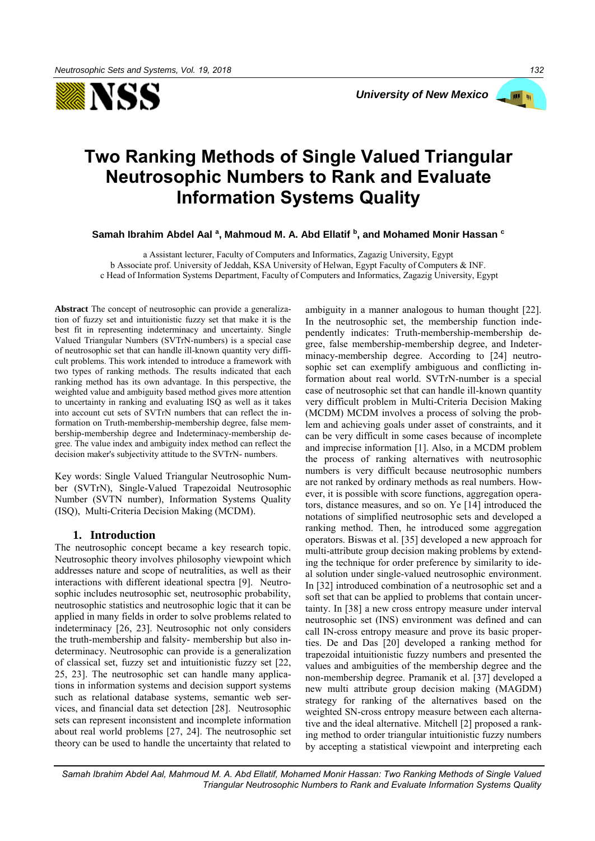



# **Two Ranking Methods of Single Valued Triangular Neutrosophic Numbers to Rank and Evaluate Information Systems Quality**

**Samah Ibrahim Abdel Aal <sup>a</sup> , Mahmoud M. A. Abd Ellatif <sup>b</sup> , and Mohamed Monir Hassan <sup>c</sup>**

a Assistant lecturer, Faculty of Computers and Informatics, Zagazig University, Egypt b Associate prof. University of Jeddah, KSA University of Helwan, Egypt Faculty of Computers & INF. c Head of Information Systems Department, Faculty of Computers and Informatics, Zagazig University, Egypt

**Abstract** The concept of neutrosophic can provide a generalization of fuzzy set and intuitionistic fuzzy set that make it is the best fit in representing indeterminacy and uncertainty. Single Valued Triangular Numbers (SVTrN-numbers) is a special case of neutrosophic set that can handle ill-known quantity very difficult problems. This work intended to introduce a framework with two types of ranking methods. The results indicated that each ranking method has its own advantage. In this perspective, the weighted value and ambiguity based method gives more attention to uncertainty in ranking and evaluating ISQ as well as it takes into account cut sets of SVTrN numbers that can reflect the information on Truth-membership-membership degree, false membership-membership degree and Indeterminacy-membership degree. The value index and ambiguity index method can reflect the decision maker's subjectivity attitude to the SVTrN- numbers.

Key words: Single Valued Triangular Neutrosophic Number (SVTrN), Single-Valued Trapezoidal Neutrosophic Number (SVTN number), Information Systems Quality (ISQ), Multi-Criteria Decision Making (MCDM).

# **1. Introduction**

The neutrosophic concept became a key research topic. Neutrosophic theory involves philosophy viewpoint which addresses nature and scope of neutralities, as well as their interactions with different ideational spectra [9]. Neutrosophic includes neutrosophic set, neutrosophic probability, neutrosophic statistics and neutrosophic logic that it can be applied in many fields in order to solve problems related to indeterminacy [26, 23]. Neutrosophic not only considers the truth-membership and falsity- membership but also indeterminacy. Neutrosophic can provide is a generalization of classical set, fuzzy set and intuitionistic fuzzy set [22, 25, 23]. The neutrosophic set can handle many applications in information systems and decision support systems such as relational database systems, semantic web services, and financial data set detection [28]. Neutrosophic sets can represent inconsistent and incomplete information about real world problems [27, 24]. The neutrosophic set theory can be used to handle the uncertainty that related to

ambiguity in a manner analogous to human thought [22]. In the neutrosophic set, the membership function independently indicates: Truth-membership-membership degree, false membership-membership degree, and Indeterminacy-membership degree. According to [24] neutrosophic set can exemplify ambiguous and conflicting information about real world. SVTrN-number is a special case of neutrosophic set that can handle ill-known quantity very difficult problem in Multi-Criteria Decision Making (MCDM) MCDM involves a process of solving the problem and achieving goals under asset of constraints, and it can be very difficult in some cases because of incomplete and imprecise information [1]. Also, in a MCDM problem the process of ranking alternatives with neutrosophic numbers is very difficult because neutrosophic numbers are not ranked by ordinary methods as real numbers. However, it is possible with score functions, aggregation operators, distance measures, and so on. Ye [14] introduced the notations of simplified neutrosophic sets and developed a ranking method. Then, he introduced some aggregation operators. Biswas et al. [35] developed a new approach for multi-attribute group decision making problems by extending the technique for order preference by similarity to ideal solution under single-valued neutrosophic environment. In [32] introduced combination of a neutrosophic set and a soft set that can be applied to problems that contain uncertainty. In [38] a new cross entropy measure under interval neutrosophic set (INS) environment was defined and can call IN-cross entropy measure and prove its basic properties. De and Das [20] developed a ranking method for trapezoidal intuitionistic fuzzy numbers and presented the values and ambiguities of the membership degree and the non-membership degree. Pramanik et al. [37] developed a new multi attribute group decision making (MAGDM) strategy for ranking of the alternatives based on the weighted SN-cross entropy measure between each alternative and the ideal alternative. Mitchell [2] proposed a ranking method to order triangular intuitionistic fuzzy numbers by accepting a statistical viewpoint and interpreting each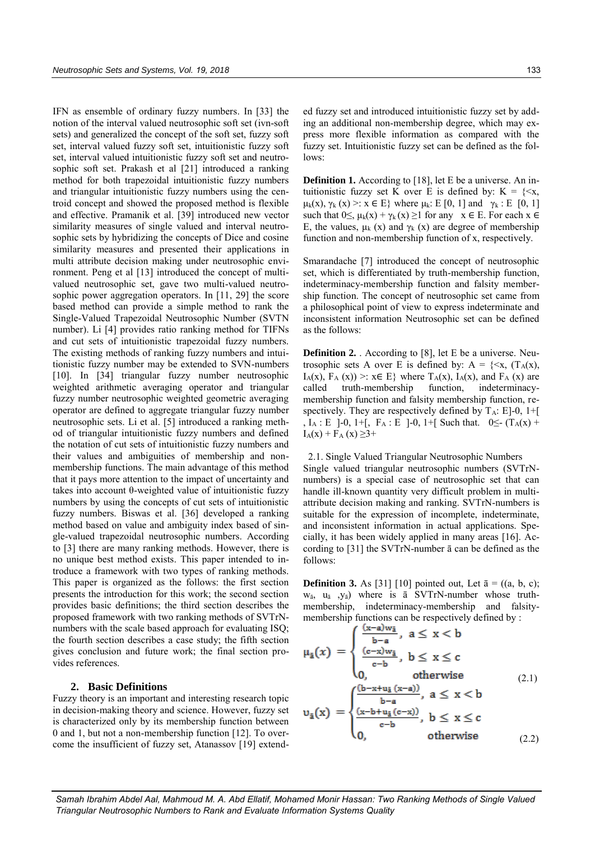IFN as ensemble of ordinary fuzzy numbers. In [33] the notion of the interval valued neutrosophic soft set (ivn-soft sets) and generalized the concept of the soft set, fuzzy soft set, interval valued fuzzy soft set, intuitionistic fuzzy soft set, interval valued intuitionistic fuzzy soft set and neutrosophic soft set. Prakash et al [21] introduced a ranking method for both trapezoidal intuitionistic fuzzy numbers and triangular intuitionistic fuzzy numbers using the centroid concept and showed the proposed method is flexible and effective. Pramanik et al. [39] introduced new vector similarity measures of single valued and interval neutrosophic sets by hybridizing the concepts of Dice and cosine similarity measures and presented their applications in multi attribute decision making under neutrosophic environment. Peng et al [13] introduced the concept of multivalued neutrosophic set, gave two multi-valued neutrosophic power aggregation operators. In [11, 29] the score based method can provide a simple method to rank the Single-Valued Trapezoidal Neutrosophic Number (SVTN number). Li [4] provides ratio ranking method for TIFNs and cut sets of intuitionistic trapezoidal fuzzy numbers. The existing methods of ranking fuzzy numbers and intuitionistic fuzzy number may be extended to SVN-numbers [10]. In [34] triangular fuzzy number neutrosophic weighted arithmetic averaging operator and triangular fuzzy number neutrosophic weighted geometric averaging operator are defined to aggregate triangular fuzzy number neutrosophic sets. Li et al. [5] introduced a ranking method of triangular intuitionistic fuzzy numbers and defined the notation of cut sets of intuitionistic fuzzy numbers and their values and ambiguities of membership and nonmembership functions. The main advantage of this method that it pays more attention to the impact of uncertainty and takes into account θ-weighted value of intuitionistic fuzzy numbers by using the concepts of cut sets of intuitionistic fuzzy numbers. Biswas et al. [36] developed a ranking method based on value and ambiguity index based of single-valued trapezoidal neutrosophic numbers. According to [3] there are many ranking methods. However, there is no unique best method exists. This paper intended to introduce a framework with two types of ranking methods. This paper is organized as the follows: the first section presents the introduction for this work; the second section provides basic definitions; the third section describes the proposed framework with two ranking methods of SVTrNnumbers with the scale based approach for evaluating ISQ; the fourth section describes a case study; the fifth section gives conclusion and future work; the final section provides references.

# **2. Basic Definitions**

Fuzzy theory is an important and interesting research topic in decision-making theory and science. However, fuzzy set is characterized only by its membership function between 0 and 1, but not a non-membership function [12]. To overcome the insufficient of fuzzy set, Atanassov [19] extended fuzzy set and introduced intuitionistic fuzzy set by adding an additional non-membership degree, which may express more flexible information as compared with the fuzzy set. Intuitionistic fuzzy set can be defined as the follows:

**Definition 1.** According to [18], let E be a universe. An intuitionistic fuzzy set K over E is defined by:  $K = \{ \le x,$  $\mu_k(x), \gamma_k(x) >: x \in E$ } where  $\mu_k: E[0, 1]$  and  $\gamma_k: E[0, 1]$ such that  $0 \leq$ ,  $\mu_k(x) + \gamma_k(x) \geq 1$  for any  $x \in E$ . For each  $x \in E$ E, the values,  $\mu_k$  (x) and  $\gamma_k$  (x) are degree of membership function and non-membership function of x, respectively.

Smarandache [7] introduced the concept of neutrosophic set, which is differentiated by truth-membership function, indeterminacy-membership function and falsity membership function. The concept of neutrosophic set came from a philosophical point of view to express indeterminate and inconsistent information Neutrosophic set can be defined as the follows:

**Definition 2.** . According to [8], let E be a universe. Neutrosophic sets A over E is defined by:  $A = \{\leq x, (T_A(x),$  $I_A(x)$ ,  $F_A(x)$  >:  $x \in E$ } where  $T_A(x)$ ,  $I_A(x)$ , and  $F_A(x)$  are called truth-membership function, indeterminacymembership function and falsity membership function, respectively. They are respectively defined by  $T_A$ : E]-0, 1+[ ,  $I_A : E$  ]-0, 1+[,  $F_A : E$  ]-0, 1+[ Such that. 0 $\leq$ - (T<sub>A</sub>(x) +  $I_A(x) + F_A(x) \geq 3+$ 

2.1. Single Valued Triangular Neutrosophic Numbers

Single valued triangular neutrosophic numbers (SVTrNnumbers) is a special case of neutrosophic set that can handle ill-known quantity very difficult problem in multiattribute decision making and ranking. SVTrN-numbers is suitable for the expression of incomplete, indeterminate, and inconsistent information in actual applications. Specially, it has been widely applied in many areas [16]. According to [31] the SVTrN-number ā can be defined as the follows:

**Definition 3.** As [31] [10] pointed out, Let  $\bar{a} = ((a, b, c);$  $w_{\bar{a}}$ ,  $u_{\bar{a}}$ ,  $y_{\bar{a}}$ ) where is  $\bar{a}$  SVTrN-number whose truthmembership, indeterminacy-membership and falsitymembership functions can be respectively defined by :

$$
\mu_{\tilde{a}}(x) = \begin{cases}\n\frac{(x-a)w_{\tilde{a}}}{b-a}, \ a \leq x < b \\
\frac{(c-x)w_{\tilde{a}}}{c-b}, \ b \leq x \leq c \\
0, \qquad \text{otherwise} \\
0, \qquad \text{otherwise}\n\end{cases}
$$
\n
$$
\upsilon_{\tilde{a}}(x) = \begin{cases}\n\frac{(b-x+w_{\tilde{a}}(x-a))}{b-a}, \ a \leq x < b \\
\frac{(x-b+w_{\tilde{a}}(c-x))}{c-b}, \ b \leq x \leq c \\
0, \qquad \text{otherwise}\n\end{cases}
$$
\n(2.2)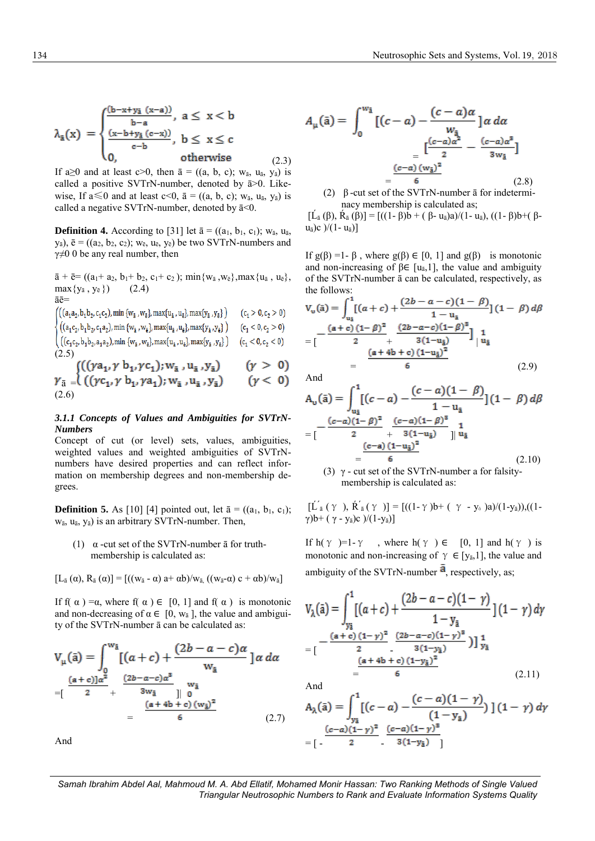$$
\lambda_{\tilde{a}}(x) = \begin{cases}\n\frac{(b-x+ y_{\tilde{a}} (x-a))}{b-a}, & a \leq x < b \\
\frac{(x-b+ y_{\tilde{a}} (c-x))}{c-b}, & b \leq x \leq c \\
0, & \text{otherwise}\n\end{cases}
$$
\n(2.3)

If a≥0 and at least c>0, then  $\bar{a} = ((a, b, c); w_{\bar{a}}, u_{\bar{a}}, v_{\bar{a}})$  is called a positive SVTrN-number, denoted by  $\bar{a}$  >0. Likewise, If  $a \le 0$  and at least  $c < 0$ ,  $\bar{a} = ((a, b, c); w_{\bar{a}}, u_{\bar{a}}, v_{\bar{a}})$  is called a negative SVTrN-number, denoted by  $\bar{a}$ <0.

**Definition 4.** According to [31] let  $\bar{a} = ((a_1, b_1, c_1); w_{\bar{a}}, u_{\bar{a}},$  $y_{\bar{a}}$ ),  $\bar{e} = ((a_2, b_2, c_2); w_{\bar{e}}, u_{\bar{e}}, y_{\bar{e}})$  be two SVTrN-numbers and  $γ ≠ 0$  0 be any real number, then

 $\bar{a} + \bar{e} = ((a_1 + a_2, b_1 + b_2, c_1 + c_2); \min\{w_{\bar{a}}, w_{\bar{e}}\}, \max\{u_{\bar{a}}, u_{\bar{e}}\},$  $max{y_{\bar{a}, y_{\bar{e}}}}$  (2.4) āē=

$$
\begin{cases}\n\left( (a_1a_2, b_1b_2, c_1c_2), \min \{w_{\hat{a}}, w_{\hat{b}}\}, \max\{u_{\hat{a}}, u_{\hat{b}}\}, \max\{y_{\hat{a}}, y_{\hat{b}}\} \right) & (c_1 > 0, c_2 > 0) \\
\left( (a_1c_2, b_1b_2, c_1a_2), \min \{w_{\hat{a}}, w_{\hat{b}}\}, \max\{u_{\hat{a}}, u_{\hat{b}}\}, \max\{y_{\hat{a}}, y_{\hat{b}}\} \right) & (c_1 < 0, c_2 > 0) \\
\left( (c_1c_2, b_1b_2, a_1a_2), \min \{w_{\hat{a}}, w_{\hat{b}}\}, \max\{u_{\hat{a}}, u_{\hat{b}}\}, \max\{y_{\hat{a}}, y_{\hat{b}}\} \right) & (c_1 < 0, c_2 < 0) \\
\left( 2.5 \right) & \left( f_1(r_1r_2, r_2, r_1r_3, r_2, r_3, r_4, r_4, r_5, r_6, r_7, r_7, r_8, r_9, r_9, r_{10}r_4, r_{11}r_5, r_{12}r_6, r_{13}r_7, r_{14}r_8, r_{15}r_9, r_{16}r_9, r_{17}r_9, r_{18}r_9, r_{19}r_9, r_{10}r_9, r_{11}r_9, r_{10}r_9, r_{11}r_9, r_{12}r_9, r_{13}r_9, r_{14}r_9, r_{15}r_9, r_{16}r_9, r_{17}r_9, r_{18}r_9, r_{19}r_9, r_{10}r_9, r_{11}r_9, r_{12}r_9, r_{13}r_9, r_{14}r_9, r_{15}r_9, r_{16}r_9, r_{17}r_9, r_{18}r_9, r_{19}r_9, r_{10}r_9, r_{11}r_9, r_{12}r_9, r_{13}r_9, r_{14}r_9, r_{15}r_
$$

$$
\gamma_{\bar{a}} = \left( \left( \left( \gamma c_1, \gamma b_1, \gamma a_1 \right); w_{\bar{a}}, u_{\bar{a}}, y_{\bar{a}} \right) \right) \quad (\gamma > 0) \n\gamma_{\bar{a}} = \left( \left( \left( \gamma c_1, \gamma b_1, \gamma a_1 \right); w_{\bar{a}}, u_{\bar{a}}, y_{\bar{a}} \right) \right) \quad (\gamma < 0) \n(2.6)
$$

### *3.1.1 Concepts of Values and Ambiguities for SVTrN-Numbers*

Concept of cut (or level) sets, values, ambiguities, weighted values and weighted ambiguities of SVTrNnumbers have desired properties and can reflect information on membership degrees and non-membership degrees.

**Definition 5.** As [10] [4] pointed out, let  $\bar{a} = ((a_1, b_1, c_1);$ wā, uā, yā) is an arbitrary SVTrN-number. Then,

(1)  $\alpha$  -cut set of the SVTrN-number  $\bar{a}$  for truthmembership is calculated as:

[L<sup>ā</sup> (α), R<sup>ā</sup> (α)] = [((w<sup>ā</sup> - α) a+ αb)/wā, ((wā-α) c + αb)/wā]

If f( $\alpha$ ) = $\alpha$ , where f( $\alpha$ )  $\in$  [0, 1] and f( $\alpha$ ) is monotonic and non-decreasing of  $\alpha \in [0, w_{\bar{a}}]$ , the value and ambiguity of the SVTrN-number ā can be calculated as:

$$
V_{\mu}(\bar{a}) = \int_{0}^{w_{\bar{a}}} [(a+c) + \frac{(2b-a-c)\alpha}{w_{\bar{a}}}] \alpha \, d\alpha
$$
  
=  $\left[\frac{(a+c) \alpha^{2}}{2} + \frac{(2b-a-c)\alpha^{3}}{3w_{\bar{a}}} \right]_{0}^{w_{\bar{a}}}$   
=  $\frac{(a+4b+c)(w_{\bar{a}})^{2}}{6}$  (2.7)

And

$$
A_{\mu}(\bar{a}) = \int_0^{w_{\bar{a}}} [(c-a) - \frac{(c-a)\alpha}{w_{\bar{a}}}] \alpha \, d\alpha
$$

$$
= \frac{[\frac{(c-a)\alpha^2}{2} - \frac{(c-a)\alpha^3}{3w_{\bar{a}}}]}{6}
$$
(2.8)

(2) β -cut set of the SVTrN-number ā for indeterminacy membership is calculated as;

 $[\dot{L}_{\bar{a}} (\beta), \dot{R}_{\bar{a}} (\beta)] = [((1 - \beta)b + (\beta - u_{\bar{a}})a)/(1 - u_{\bar{a}}), ((1 - \beta)b + (\beta - u_{\bar{a}})a)]$  $u_{\bar{a}}$ )c )/(1- $u_{\bar{a}}$ )]

If  $g(β) = 1 - β$ , where  $g(β) \in [0, 1]$  and  $g(β)$  is monotonic and non-increasing of  $\beta \in [u_{\bar{a}}, 1]$ , the value and ambiguity of the SVTrN-number ā can be calculated, respectively, as the follows:

$$
V_{\nu}(\tilde{a}) = \int_{u_{\tilde{a}}}^{1} [(a+c) + \frac{(2b-a-c)(1-\beta)}{1-u_{\tilde{a}}}] (1-\beta) d\beta
$$
  
= 
$$
[\frac{(a+c)(1-\beta)^{2}}{2} + \frac{(2b-a-c)(1-\beta)^{3}}{3(1-u_{\tilde{a}})}] \frac{1}{|u_{\tilde{a}}|}
$$
  
= 
$$
\frac{(a+4b+c)(1-u_{\tilde{a}})^{2}}{6} \qquad (2.9)
$$

And

$$
A_{\mathbf{u}}(\bar{\mathbf{a}}) = \int_{u_{\bar{\mathbf{a}}}}^{1} [(c - a) - \frac{(c - a)(1 - \beta)}{1 - u_{\bar{\mathbf{a}}}}] (1 - \beta) d\beta
$$
  
\n
$$
= \left[ - \frac{(c - a)(1 - \beta)^2}{2} + \frac{(c - a)(1 - \beta)^3}{3(1 - u_{\bar{\mathbf{a}}})} \right]_{u_{\bar{\mathbf{a}}}}^{1}
$$
  
\n
$$
= \frac{(c - a)(1 - u_{\bar{\mathbf{a}}})^2}{6}
$$
  
\n(2.10)  
\n(3)  $\gamma$  - cut set of the SVTrN-number a for falsity-

membership is calculated as:

 $[\tilde{L}_{\tilde{a}}(\gamma), \tilde{R}_{\tilde{a}}(\gamma)] = [((1-\gamma)b+(\gamma - y_{\tilde{a}})a)/(1-y_{\tilde{a}})),((1-\gamma b_{\tilde{a}})(1-\gamma b_{\tilde{a}}))$ γ) $b+$  (γ - y<sub>ā</sub>)c )/(1-y<sub>ā</sub>)]

If h(γ )=1-γ, where h(γ )  $\in$  [0, 1] and h(γ ) is monotonic and non-increasing of  $\gamma \in [y_{\bar{a}}, 1]$ , the value and ambiguity of the SVTrN-number  $\overline{a}$ , respectively, as;

$$
V_{\lambda}(\bar{a}) = \int_{y_{\bar{a}}}^{1} [(a+c) + \frac{(2b-a-c)(1-\gamma)}{1-y_{\bar{a}}}] (1-\gamma) d\gamma
$$
  
= 
$$
[\frac{-(a+c)(1-\gamma)^{2}}{2} \frac{(2b-a-c)(1-\gamma)^{3}}{3(1-\gamma_{\bar{a}})})]_{y_{\bar{a}}}^{1}
$$
  
= 
$$
\frac{(a+4b+c)(1-y_{\bar{a}})^{2}}{6} (2.11)
$$

And

$$
A_{\lambda}(\bar{a}) = \int_{y_{\bar{a}}}^{1} [(c-a) - \frac{(c-a)(1-\gamma)}{(1-y_{\bar{a}})})](1-\gamma) d\gamma
$$
  
= 
$$
[\frac{(c-a)(1-\gamma)^2}{2} - \frac{(c-a)(1-\gamma)^3}{3(1-y_{\bar{a}})}]
$$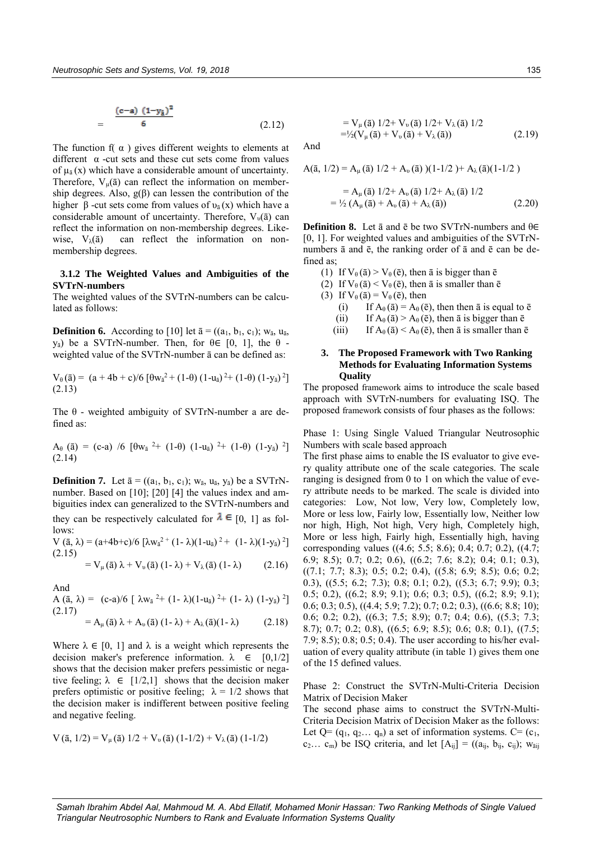$$
= \frac{(c-a) (1-y_{\tilde{a}})^2}{6}
$$
 (2.12)

The function  $f(\alpha)$  gives different weights to elements at different  $\alpha$  -cut sets and these cut sets come from values of  $\mu_{\bar{a}}(x)$  which have a considerable amount of uncertainty. Therefore,  $V_u(\bar{a})$  can reflect the information on membership degrees. Also,  $g(\beta)$  can lessen the contribution of the higher β -cut sets come from values of  $υ_{\bar{a}}(x)$  which have a considerable amount of uncertainty. Therefore,  $V_{\nu}(\bar{a})$  can reflect the information on non-membership degrees. Likewise,  $V_{\lambda}(\bar{a})$  can reflect the information on nonmembership degrees.

# **3.1.2 The Weighted Values and Ambiguities of the SVTrN-numbers**

The weighted values of the SVTrN-numbers can be calculated as follows:

**Definition 6.** According to [10] let  $\bar{a} = ((a_1, b_1, c_1); w_{\bar{a}}, u_{\bar{a}}, u_{\bar{a}})$ y<sub>a</sub>) be a SVTrN-number. Then, for θ∈ [0, 1], the θ weighted value of the SVTrN-number ā can be defined as:

$$
V_{\theta}(\bar{a}) = (a + 4b + c)/6 [\theta w_{\bar{a}}^2 + (1-\theta) (1-u_{\bar{a}})^2 + (1-\theta) (1-y_{\bar{a}})^2]
$$
  
(2.13)

The  $\theta$  - weighted ambiguity of SVTrN-number a are defined as:

 $A_{\theta}$  (ā) = (c-a) /6 [θw<sub>ā</sub> <sup>2</sup>+ (1-θ) (1-u<sub>ā</sub>) <sup>2</sup>+ (1-θ) (1-y<sub>ā</sub>) <sup>2</sup>] (2.14)

**Definition 7.** Let  $\bar{a} = ((a_1, b_1, c_1); w_{\bar{a}}, u_{\bar{a}}, y_{\bar{a}})$  be a SVTrNnumber. Based on [10]; [20] [4] the values index and ambiguities index can generalized to the SVTrN-numbers and they can be respectively calculated for  $\lambda \in [0, 1]$  as follows:

V (ā, λ) = (a+4b+c)/6 [λw<sub>a</sub><sup>2+</sup> (1- λ)(1-u<sub>ā</sub>)<sup>2</sup> + (1- λ)(1-y<sub>ā</sub>)<sup>2</sup>] (2.15)

$$
= V_{\mu}(\bar{a}) \lambda + V_{\nu}(\bar{a}) (1-\lambda) + V_{\lambda}(\bar{a}) (1-\lambda) \qquad (2.16)
$$

And

A (ā, λ) = (c-a)/6 [ λw<sub>ā</sub><sup>2</sup>+ (1- λ)(1-u<sub>ā</sub>)<sup>2</sup>+ (1- λ) (1-y<sub>ā</sub>)<sup>2</sup>] (2.17)

$$
= A_{\mu}(\bar{a}) \lambda + A_{\nu}(\bar{a}) (1 - \lambda) + A_{\lambda}(\bar{a}) (1 - \lambda) \qquad (2.18)
$$

Where  $\lambda \in [0, 1]$  and  $\lambda$  is a weight which represents the decision maker's preference information.  $\lambda \in [0,1/2]$ shows that the decision maker prefers pessimistic or negative feeling;  $\lambda \in [1/2,1]$  shows that the decision maker prefers optimistic or positive feeling;  $\lambda = 1/2$  shows that the decision maker is indifferent between positive feeling and negative feeling.

$$
V(\bar{a}, 1/2) = V_{\mu}(\bar{a}) 1/2 + V_{\nu}(\bar{a}) (1-1/2) + V_{\lambda}(\bar{a}) (1-1/2)
$$

$$
= V_{\mu}(\bar{a}) 1/2 + V_{\nu}(\bar{a}) 1/2 + V_{\lambda}(\bar{a}) 1/2
$$
  
= $\frac{1}{2}(V_{\mu}(\bar{a}) + V_{\nu}(\bar{a}) + V_{\lambda}(\bar{a}))$  (2.19)

And

$$
A(\bar{a}, 1/2) = A_{\mu}(\bar{a}) 1/2 + A_{\nu}(\bar{a}) (1-1/2) + A_{\lambda}(\bar{a})(1-1/2)
$$

$$
= A_{\mu}(\bar{a}) 1/2 + A_{\nu}(\bar{a}) 1/2 + A_{\lambda}(\bar{a}) 1/2
$$
  
=  $\frac{1}{2} (A_{\mu}(\bar{a}) + A_{\nu}(\bar{a}) + A_{\lambda}(\bar{a}))$  (2.20)

**Definition 8.** Let ā and ē be two SVTrN-numbers and θ∈ [0, 1]. For weighted values and ambiguities of the SVTrNnumbers ā and ē, the ranking order of ā and ē can be defined as;

- (1) If  $V_{\theta}(\bar{a}) > V_{\theta}(\bar{e})$ , then  $\bar{a}$  is bigger than  $\bar{e}$
- (2) If  $V_{\theta}(\bar{a}) < V_{\theta}(\bar{e})$ , then  $\bar{a}$  is smaller than  $\bar{e}$
- (3) If  $V_{\theta}(\bar{a}) = V_{\theta}(\bar{e})$ , then
	- (i) If  $A_{\theta}(\bar{a}) = A_{\theta}(\bar{e})$ , then then  $\bar{a}$  is equal to  $\bar{e}$
	- (ii) If  $A_{\theta}(\bar{a}) > A_{\theta}(\bar{e})$ , then  $\bar{a}$  is bigger than  $\bar{e}$
	- (iii) If  $A_{\theta}(\bar{a}) < A_{\theta}(\bar{e})$ , then  $\bar{a}$  is smaller than  $\bar{e}$

## **3. The Proposed Framework with Two Ranking Methods for Evaluating Information Systems Quality**

The proposed framework aims to introduce the scale based approach with SVTrN-numbers for evaluating ISQ. The proposed framework consists of four phases as the follows:

Phase 1: Using Single Valued Triangular Neutrosophic Numbers with scale based approach

The first phase aims to enable the IS evaluator to give every quality attribute one of the scale categories. The scale ranging is designed from 0 to 1 on which the value of every attribute needs to be marked. The scale is divided into categories: Low, Not low, Very low, Completely low, More or less low, Fairly low, Essentially low, Neither low nor high, High, Not high, Very high, Completely high, More or less high, Fairly high, Essentially high, having corresponding values ((4.6; 5.5; 8.6); 0.4; 0.7; 0.2), ((4.7; 6.9; 8.5); 0.7; 0.2; 0.6), ((6.2; 7.6; 8.2); 0.4; 0.1; 0.3),  $((7.1; 7.7; 8.3); 0.5; 0.2; 0.4), ((5.8; 6.9; 8.5); 0.6; 0.2;$ 0.3), ((5.5; 6.2; 7.3); 0.8; 0.1; 0.2), ((5.3; 6.7; 9.9); 0.3; 0.5; 0.2), ((6.2; 8.9; 9.1); 0.6; 0.3; 0.5), ((6.2; 8.9; 9.1); 0.6; 0.3; 0.5), ((4.4; 5.9; 7.2); 0.7; 0.2; 0.3), ((6.6; 8.8; 10); 0.6; 0.2; 0.2), ((6.3; 7.5; 8.9); 0.7; 0.4; 0.6), ((5.3; 7.3; 8.7); 0.7; 0.2; 0.8), ((6.5; 6.9; 8.5); 0.6; 0.8; 0.1), ((7.5; 7.9; 8.5); 0.8; 0.5; 0.4). The user according to his/her evaluation of every quality attribute (in table 1) gives them one of the 15 defined values.

Phase 2: Construct the SVTrN-Multi-Criteria Decision Matrix of Decision Maker

The second phase aims to construct the SVTrN-Multi-Criteria Decision Matrix of Decision Maker as the follows: Let  $Q = (q_1, q_2... q_n)$  a set of information systems. C=  $(c_1,$  $c_2... c_m$ ) be ISQ criteria, and let  $[A_{ij}] = ((a_{ij}, b_{ij}, c_{ij}); w_{\bar{a}ij})$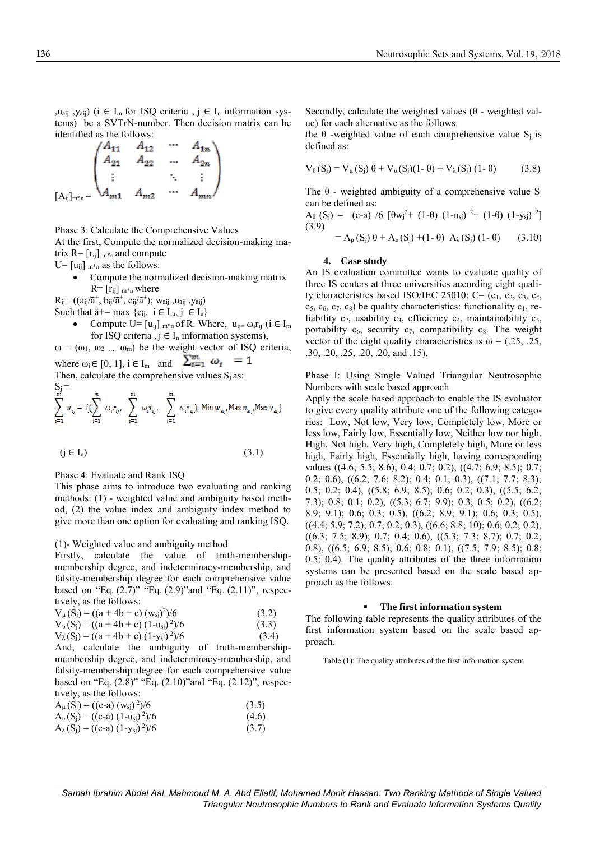, $u_{\text{d}}$  ,  $y_{\text{d}}$  (i  $\in I_{\text{m}}$  for ISQ criteria,  $i \in I_{\text{n}}$  information systems) be a SVTrN-number. Then decision matrix can be identified as the follows:

$$
A_{11} \t A_{12} \t ... \t A_{1n}
$$
  
\n
$$
\begin{pmatrix} A_{11} & A_{12} & \cdots & A_{1n} \\ A_{21} & A_{22} & \cdots & A_{2n} \\ \vdots & & \ddots & \vdots \\ A_{m1} & A_{m2} & \cdots & A_{mn} \end{pmatrix}
$$

Phase 3: Calculate the Comprehensive Values

At the first, Compute the normalized decision-making matrix  $R = [r_{ij}]_{m*n}$  and compute

 $U=[u_{ij}]_{m*n}$  as the follows:

- Compute the normalized decision-making matrix  $R = [r_{ij}]_{m*n}$  where
- $\rm R_{ij}\rm = ((a_{ij}/\bar{a}^{+},\, b_{ij}/\bar{a}^{+},\, c_{ij}/\bar{a}^{+});\, w_{\bar{a}ij}, u_{\bar{a}ij}, y_{\bar{a}ij})$
- Such that  $\bar{a}$ += max {c<sub>ij</sub>. i  $\in I_m$ , j  $\in I_n$ }
	- Compute U=  $[u_{ii}]_{m*n}$  of R. Where,  $u_{ii} = \omega_i r_{ii}$  ( $i \in I_m$ for ISQ criteria,  $j \in I_n$  information systems),
- $\omega = (\omega_1, \omega_2, \ldots, \omega_m)$  be the weight vector of ISQ criteria,

where  $\omega_i \in [0, 1]$ ,  $i \in I_m$  and  $\sum_{i=1}^m \omega_i = 1$ Then, calculate the comprehensive values  $S_i$  as:  $S_j =$  $\stackrel{m}{\leftarrow}$  $\stackrel{m}{\leftarrow}$  $\stackrel{m}{\leftarrow}$ 

$$
\sum_{i=1} u_{ij} = \left( \left( \sum_{i=1} \omega_i r_{ij}, \sum_{i=1} \omega_i r_{ij}, \sum_{i=1} \omega_i r_{ij} \right); \text{ Min } w_{\text{ai}j}, \text{Max } u_{\text{ai}j}, \text{Max } y_{\text{ai}j} \right)
$$

$$
(j \in I_n) \tag{3.1}
$$

Phase 4: Evaluate and Rank ISQ

This phase aims to introduce two evaluating and ranking methods: (1) - weighted value and ambiguity based method, (2) the value index and ambiguity index method to give more than one option for evaluating and ranking ISQ.

## (1)- Weighted value and ambiguity method

Firstly, calculate the value of truth-membershipmembership degree, and indeterminacy-membership, and falsity-membership degree for each comprehensive value based on "Eq. (2.7)" "Eq. (2.9)"and "Eq. (2.11)", respectively, as the follows:

$$
V_{\mu}(S_j) = ((a + 4b + c) (w_{sj})^2)/6
$$
\n(3.2)  
\n
$$
V_{\nu}(S_j) = ((a + 4b + c) (1 - u_{sj})^2)/6
$$
\n(3.3)  
\n
$$
V_{\lambda}(S_j) = ((a + 4b + c) (1 - y_{sj})^2)/6
$$
\n(3.4)

And, calculate the ambiguity of truth-membershipmembership degree, and indeterminacy-membership, and falsity-membership degree for each comprehensive value based on "Eq. (2.8)" "Eq. (2.10)"and "Eq. (2.12)", respectively, as the follows:

| $A_{\mu}(S_j) = ((c-a) (w_{sj})^2)/6$       | (3.5) |
|---------------------------------------------|-------|
| $A_v(S_j) = ((c-a) (1-u_{si})^2)/6$         | (4.6) |
| $A_{\lambda}(S_j) = ((c-a) (1-y_{sj})^2)/6$ | (3.7) |

Secondly, calculate the weighted values  $(\theta$  - weighted value) for each alternative as the follows:

the  $\theta$  -weighted value of each comprehensive value S<sub>i</sub> is defined as:

$$
V_{\theta}(S_j) = V_{\mu}(S_j) \theta + V_{\nu}(S_j)(1-\theta) + V_{\lambda}(S_j) (1-\theta) \qquad (3.8)
$$

The  $\theta$  - weighted ambiguity of a comprehensive value S<sub>i</sub> can be defined as:

$$
A_{\theta} (S_j) = (c-a) / 6 [ \theta w_j^2 + (1-\theta) (1-u_{sj})^2 + (1-\theta) (1-y_{sj})^2 ]
$$
  
(3.9)  

$$
= A_{\mu} (S_j) \theta + A_{\nu} (S_j) + (1-\theta) A_{\lambda} (S_j) (1-\theta) \qquad (3.10)
$$

#### **4. Case study**

An IS evaluation committee wants to evaluate quality of three IS centers at three universities according eight quality characteristics based ISO/IEC 25010: C=  $(c_1, c_2, c_3, c_4, c_5)$  $c_5$ ,  $c_6$ ,  $c_7$ ,  $c_8$ ) be quality characteristics: functionality  $c_1$ , reliability  $c_2$ , usability  $c_3$ , efficiency  $c_4$ , maintainability  $c_5$ , portability  $c_6$ , security  $c_7$ , compatibility  $c_8$ . The weight vector of the eight quality characteristics is  $\omega = (0.25, 0.25, 0.25)$ .30, .20, .25, .20, .20, and .15).

Phase I: Using Single Valued Triangular Neutrosophic Numbers with scale based approach

Apply the scale based approach to enable the IS evaluator to give every quality attribute one of the following categories: Low, Not low, Very low, Completely low, More or less low, Fairly low, Essentially low, Neither low nor high, High, Not high, Very high, Completely high, More or less high, Fairly high, Essentially high, having corresponding values ((4.6; 5.5; 8.6); 0.4; 0.7; 0.2), ((4.7; 6.9; 8.5); 0.7; 0.2; 0.6), ((6.2; 7.6; 8.2); 0.4; 0.1; 0.3), ((7.1; 7.7; 8.3); 0.5; 0.2; 0.4), ((5.8; 6.9; 8.5); 0.6; 0.2; 0.3), ((5.5; 6.2; 7.3); 0.8; 0.1; 0.2), ((5.3; 6.7; 9.9); 0.3; 0.5; 0.2), ((6.2; 8.9; 9.1); 0.6; 0.3; 0.5), ((6.2; 8.9; 9.1); 0.6; 0.3; 0.5), ((4.4; 5.9; 7.2); 0.7; 0.2; 0.3), ((6.6; 8.8; 10); 0.6; 0.2; 0.2), ((6.3; 7.5; 8.9); 0.7; 0.4; 0.6), ((5.3; 7.3; 8.7); 0.7; 0.2; 0.8), ((6.5; 6.9; 8.5); 0.6; 0.8; 0.1), ((7.5; 7.9; 8.5); 0.8; 0.5; 0.4). The quality attributes of the three information systems can be presented based on the scale based approach as the follows:

#### **The first information system**

The following table represents the quality attributes of the first information system based on the scale based approach.

Table (1): The quality attributes of the first information system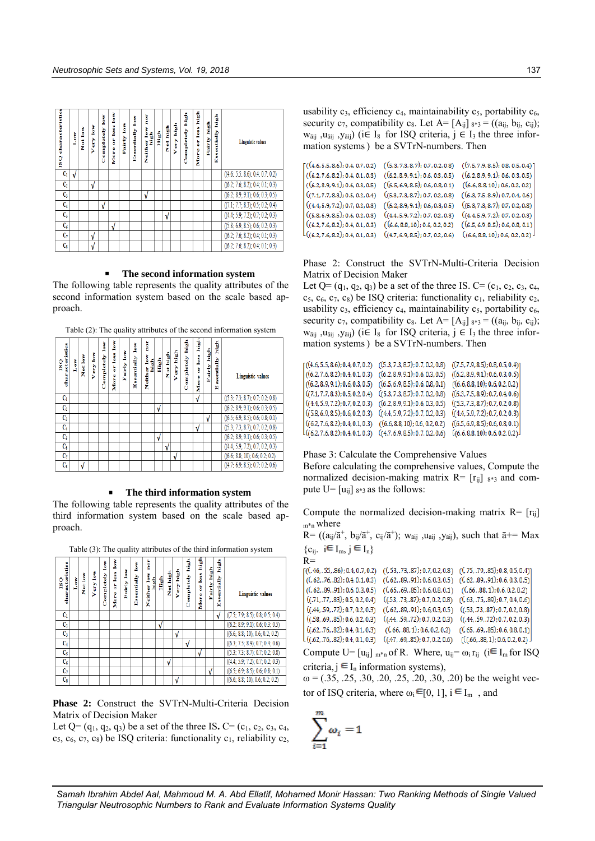| ISQ characteristics | Š | Not low | Ì<br>Very | Š<br>Completely | less low<br>5<br>More | Š<br>Fairly | <b>Essentially low</b> | è<br>š<br>Í<br>Neither | fi<br>E | Not high   | Í<br>Very | Í<br>Completely | high<br>less<br>ă<br>More | Pairly high | Í<br>Essentially | Linguistic values                |
|---------------------|---|---------|-----------|-----------------|-----------------------|-------------|------------------------|------------------------|---------|------------|-----------|-----------------|---------------------------|-------------|------------------|----------------------------------|
| $C_1$               |   |         |           |                 |                       |             |                        |                        |         |            |           |                 |                           |             |                  | ((4.6; 5.5; 8.6); 0.4; 0.7; 0.2) |
| C <sub>2</sub>      |   |         | ν         |                 |                       |             |                        |                        |         |            |           |                 |                           |             |                  | ((6.2; 7.6; 8.2); 0.4; 0.1; 0.3) |
| $C_3$               |   |         |           |                 |                       |             |                        | V                      |         |            |           |                 |                           |             |                  | ((6.2; 8.9; 9.1); 0.6; 0.3; 0.5) |
| $C_4$               |   |         |           | √               |                       |             |                        |                        |         |            |           |                 |                           |             |                  | ((7.1; 7.7; 8.3); 0.5; 0.2; 0.4) |
| $C_5$               |   |         |           |                 |                       |             |                        |                        |         | $\sqrt{ }$ |           |                 |                           |             |                  | (4.4; 5.9; 7.2); 0.7; 0.2; 0.3)  |
| $C_6$               |   |         |           |                 | J                     |             |                        |                        |         |            |           |                 |                           |             |                  | ((5.8; 6.9; 8.5); 0.6; 0.2; 0.3) |
| C <sub>7</sub>      |   |         | ٧         |                 |                       |             |                        |                        |         |            |           |                 |                           |             |                  | ((6.2; 7.6; 8.2); 0.4; 0.1; 0.3) |
| $C_{\rm S}$         |   |         | ٧         |                 |                       |             |                        |                        |         |            |           |                 |                           |             |                  | ((6.2; 7.6; 8.2); 0.4; 0.1; 0.3) |

#### **The second information system**

The following table represents the quality attributes of the second information system based on the scale based approach.

<u>ila ili ili ile 141 ili al</u>

1 1 J 1 1 1

| characteristics<br>$\overline{\text{c}}$ | Low | Not low | Š<br>ery | Š<br>Completely | ŝ<br>less<br>ă<br>More | Š<br>Fairly | Š<br>Essentially | ē<br>Š<br>high.<br>Neither | High       | Not high   | Very high | 괕<br>Completely | ř<br>less<br>ă<br>٥<br>ģ | Fairly high | Ì<br>$sc = 1g$<br>M | <b>Linguistic values</b>         |
|------------------------------------------|-----|---------|----------|-----------------|------------------------|-------------|------------------|----------------------------|------------|------------|-----------|-----------------|--------------------------|-------------|---------------------|----------------------------------|
| C <sub>1</sub>                           |     |         |          |                 |                        |             |                  |                            |            |            |           |                 | V                        |             |                     | ((5.3; 7.3; 8.7); 0.7; 0.2; 0.8) |
| $C_2$                                    |     |         |          |                 |                        |             |                  |                            | $\sqrt{ }$ |            |           |                 |                          |             |                     | ((6.2; 8.9; 9.1); 0.6; 0.3; 0.5) |
| $C_3$                                    |     |         |          |                 |                        |             |                  |                            |            |            |           |                 |                          | V           |                     | ((6.5; 6.9; 8.5); 0.6; 0.8; 0.1) |
| C <sub>4</sub>                           |     |         |          |                 |                        |             |                  |                            |            |            |           |                 | ν                        |             |                     | ((5.3; 7.3; 8.7); 0.7; 0.2; 0.8) |
| $C_5$                                    |     |         |          |                 |                        |             |                  |                            | $\sqrt{ }$ |            |           |                 |                          |             |                     | ((6.2; 8.9; 9.1); 0.6; 0.3; 0.5) |
| $C_6$                                    |     |         |          |                 |                        |             |                  |                            |            | $\sqrt{ }$ |           |                 |                          |             |                     | ((4.4; 5.9; 7.2); 0.7; 0.2; 0.3) |
| C,                                       |     |         |          |                 |                        |             |                  |                            |            |            | ν         |                 |                          |             |                     | ((6.6; 8.8; 10); 0.6; 0.2; 0.2)  |
| $C_8$                                    |     | ٦I      |          |                 |                        |             |                  |                            |            |            |           |                 |                          |             |                     | ((4.7; 6.9; 8.5); 0.7; 0.2; 0.6) |

#### **The third information system**

The following table represents the quality attributes of the third information system based on the scale based approach.

| characteristics<br>$\overline{\text{c}}$ | Low | Not low | Very low | Š<br>Completely | È<br>or less<br>More | Š<br>Fairly | Š<br>Essentially | è<br>Ì<br>Í<br>Neither | Í         | Not high | Very high | high.<br>Completely | Í<br><b>less</b><br>ă<br>More | Fairly high | fi<br>H<br>ssentially<br>Ĥ | <b>Linguistic values</b>         |
|------------------------------------------|-----|---------|----------|-----------------|----------------------|-------------|------------------|------------------------|-----------|----------|-----------|---------------------|-------------------------------|-------------|----------------------------|----------------------------------|
| C <sub>1</sub>                           |     |         |          |                 |                      |             |                  |                        |           |          |           |                     |                               |             | $\sqrt{ }$                 | ((7.5; 7.9; 8.5); 0.8; 0.5; 0.4) |
| $C_2$                                    |     |         |          |                 |                      |             |                  |                        | $\sqrt{}$ |          |           |                     |                               |             |                            | ((6.2; 8.9; 9.1); 0.6; 0.3; 0.5) |
| $C_3$                                    |     |         |          |                 |                      |             |                  |                        |           |          | ν         |                     |                               |             |                            | ((6.6; 8.8; 10); 0.6; 0.2; 0.2)  |
| C <sub>4</sub>                           |     |         |          |                 |                      |             |                  |                        |           |          |           | V                   |                               |             |                            | ((6.3; 7.5; 8.9); 0.7; 0.4; 0.6) |
| $C_{5}$                                  |     |         |          |                 |                      |             |                  |                        |           |          |           |                     | v                             |             |                            | ((5.3; 7.3; 8.7); 0.7; 0.2; 0.8) |
| $C_6$                                    |     |         |          |                 |                      |             |                  |                        |           | V        |           |                     |                               |             |                            | ((4.4; 5.9; 7.2); 0.7; 0.2; 0.3) |
| C <sub>7</sub>                           |     |         |          |                 |                      |             |                  |                        |           |          |           |                     |                               | V           |                            | ((6.5; 6.9; 8.5); 0.6; 0.8; 0.1) |
| $C_8$                                    |     |         |          |                 |                      |             |                  |                        |           |          |           |                     |                               |             |                            | ((6.6; 8.8; 10); 0.6; 0.2; 0.2)  |

Table (3): The quality attributes of the third information system

**Phase 2:** Construct the SVTrN-Multi-Criteria Decision Matrix of Decision Maker

Let  $Q = (q_1, q_2, q_3)$  be a set of the three IS.  $C = (c_1, c_2, c_3, c_4,$  $c_5$ ,  $c_6$ ,  $c_7$ ,  $c_8$ ) be ISQ criteria: functionality  $c_1$ , reliability  $c_2$ ,

usability  $c_3$ , efficiency  $c_4$ , maintainability  $c_5$ , portability  $c_6$ , security  $c_7$ , compatibility  $c_8$ . Let  $A = [A_{ij}]_{8*3} = ((a_{ij}, b_{ij}, c_{ij});$  $w_{\overline{a}ii}$ ,  $u_{\overline{a}ii}$ ,  $y_{\overline{a}ii}$ ) (i $\in I_8$  for ISQ criteria,  $j \in I_3$  the three information systems) be a SVTrN-numbers. Then

$$
[(6.2, 7.6, 8.2); 0.4, 0.7, 0.2) \quad ((5.3, 7.3, 8.7); 0.7, 0.2, 0.8) \quad ((7.5, 7.9, 8.5); 0.8, 0.5, 0.4) (6.2, 7.6, 8.2); 0.4, 0.1, 0.3) \quad ((6.2, 8.9, 9.1); 0.6, 0.3, 0.5) \quad ((6.2, 8.9, 9.1); 0.6, 0.3, 0.5) (6.2, 8.9, 9.1); 0.6, 0.3, 0.5) \quad ((6.5, 6.9, 8.5); 0.6, 0.8, 0.1) \quad ((6.6, 8.8, 10); 0.6, 0.2, 0.2) ((7.1, 7.7, 8.3); 0.5, 0.2, 0.4) \quad ((5.3, 7.3, 8.7); 0.7, 0.2, 0.8) \quad ((6.3, 7.5, 8.9); 0.7, 0.4, 0.6) ((4.4, 5.9, 7.2); 0.7, 0.2, 0.3) \quad ((6.2, 8.9, 9.1); 0.6, 0.3, 0.5) \quad ((5.3, 7.3, 8.7); 0.7, 0.2, 0.8) ((5.8, 6.9, 8.5); 0.6, 0.2, 0.3) \quad ((4.4, 5.9, 7.2); 0.7, 0.2, 0.3) \quad ((6.6, 8.8, 10); 0.6, 0.2, 0.2) \quad ((6.5, 6.9, 8.5); 0.6, 0.8, 0.1) ((6.2, 7.6, 8.2); 0.4, 0.1, 0.3) \quad ((4.7, 6.9, 8.5); 0.7, 0.2, 0.6) \quad ((6.6, 8.8, 10); 0.6, 0.2, 0.2) ((6.6, 8.8, 10); 0.6, 0.2, 0.2) ((6.6, 8.8, 10); 0.6, 0.2, 0.
$$

Phase 2: Construct the SVTrN-Multi-Criteria Decision Matrix of Decision Maker

Let Q=  $(q_1, q_2, q_3)$  be a set of the three IS. C=  $(c_1, c_2, c_3, c_4,$  $c_5$ ,  $c_6$ ,  $c_7$ ,  $c_8$ ) be ISQ criteria: functionality  $c_1$ , reliability  $c_2$ , usability  $c_3$ , efficiency  $c_4$ , maintainability  $c_5$ , portability  $c_6$ , security  $c_7$ , compatibility  $c_8$ . Let  $A = [A_{ij}]_{8*3} = ((a_{ij}, b_{ij}, c_{ij});$  $w_{\text{äij}}$ ,  $u_{\text{äij}}$ ,  $y_{\text{äij}}$ ) (i $\in I_8$  for ISQ criteria,  $j \in I_3$  the three information systems) be a SVTrN-numbers. Then

| ((6.2, 8.9, 9.1); 0.6, 0.3, 0.5)<br>((6.2, 8.9, 9.1); 0.6, 0.3, 0.5)<br>((6.2, 7.6, 8.2); 0.4, 0.1, 0.3) |  |
|----------------------------------------------------------------------------------------------------------|--|
| ((6.6, 8.8, 10); 0.6, 0.2, 0.2)<br>((6.2, 8.9, 9.1); 0.6, 0.3, 0.5)<br>((6.5, 6.9, 8.5); 0.6, 0.8, 0.1)  |  |
| ((7.1, 7.7, 8.3); 0.5, 0.2, 0.4)<br>((5.3, 7.3, 8.7); 0.7, 0.2, 0.8)<br>((6.3, 7.5, 8.9); 0.7, 0.4, 0.6) |  |
| ((6.2, 8.9, 9.1); 0.6, 0.3, 0.5)<br>((5.3, 7.3, 8.7); 0.7, 0.2, 0.8)<br>((4.4, 5.9, 7.2); 0.7, 0.2, 0.3) |  |
| ((4.4, 5.9, 7.2); 0.7, 0.2, 0.3)<br>((4.4, 5.9, 7.2); 0.7, 0.2, 0.3)<br>((5.8, 6.9, 8.5); 0.6, 0.2, 0.3) |  |
| ((6.5, 6.9, 8.5); 0.6, 0.8, 0.1)<br>((6.2, 7.6, 8.2); 0.4, 0.1, 0.3)<br>((6.6, 8.8, 10); 0.6, 0.2, 0.2)  |  |
| ((6.6, 8.8, 10); 0.6, 0.2, 0.2)<br>((6.2, 7.6, 8.2); 0.4, 0.1, 0.3)<br>((4.7, 6.9, 8.5); 0.7, 0.2, 0.6)  |  |

Phase 3: Calculate the Comprehensive Values

Before calculating the comprehensive values, Compute the normalized decision-making matrix  $R = [r_{ij}]_{8*3}$  and compute  $U = [u_{ii}]_{8*3}$  as the follows:

Compute the normalized decision-making matrix  $R = [r_{ij}]$  $m^*n$  where

 $R = ((a_{ij}/\bar{a}^+, b_{ij}/\bar{a}^+, c_{ij}/\bar{a}^+); w_{\bar{a}ij}, u_{\bar{a}ij}, y_{\bar{a}ij}),$  such that  $\bar{a} \doteq Max$  ${c_{ij}}$ .  $i \in I_m$ ,  $j \in I_n$ 

| $R =$                                     |                                     |                                   |
|-------------------------------------------|-------------------------------------|-----------------------------------|
| ((. 46, . 55, .86); 0.4, 0.7, 0.2)        | ((, 53, .73, .87); 0.7, 0.2, 0.8)   | ((.75, .79, .85); 0.8, 0.5, 0.4)] |
| ((0.62, 0.76, 0.82); 0.4, 0.1, 0.3))      | ((62, 0.89, 0.91); 0.6, 0.3, 0.5)   | ((62, .89, .91); 0.6, 0.3, 0.5)   |
| ((0.62, 0.89, 0.91); 0.6, 0.3, 0.5)       | ((65, 69, 85); 0.6, 0.8, 0.1)       | ((.66, .88, 1); 0.6, 0.2, 0.2)    |
| $\left($ ((.71, .77, .83); 0.5, 0.2, 0.4) | ((.53, .73, .87); 0.7, 0.2, 0.8)    | ((0.63, .75, .89); 0.7, 0.4, 0.6) |
| ((.44, .59, .72); 0.7, 0.2, 0.3)          | ((0.62, 0.89, 0.91); 0.6, 0.3, 0.5) | ((.53, .73, .87); 0.7, 0.2, 0.8)  |
| ((.58, .69, .85); 0.6, 0.2, 0.3)          | ((.44, .59, .72); 0.7, 0.2, 0.3)    | ((.44, .59, .72); 0.7, 0.2, 0.3)  |
| ((0.62, 0.76, 0.82); 0.4, 0.1, 0.3))      | (66, 88, 1); 0.6, 0.2, 0.2)         | ((.65, .69, .85); 0.6, 0.8, 0.1)  |
| l ((.62, .76, .82); 0.4, 0.1, 0.3)        | ((.47, .69, .85); 0.7, 0.2, 0.6)    | ((66, .88, 1); 0.6, 0.2, 0.2)     |
|                                           |                                     |                                   |

Compute U=  $[u_{ij}]_{m*n}$  of R. Where,  $u_{ij} = \omega_i r_{ij}$  (i<sup> $\in I_m$ </sup> for ISQ criteria,  $j \in I_n$  information systems),

 $\omega = (0.35, 0.25, 0.30, 0.25, 0.25, 0.30, 0.20)$  be the weight vector of ISQ criteria, where  $\omega_i \in [0, 1]$ ,  $i \in I_m$ , and

$$
\sum_{i=1}^m \omega_i = 1
$$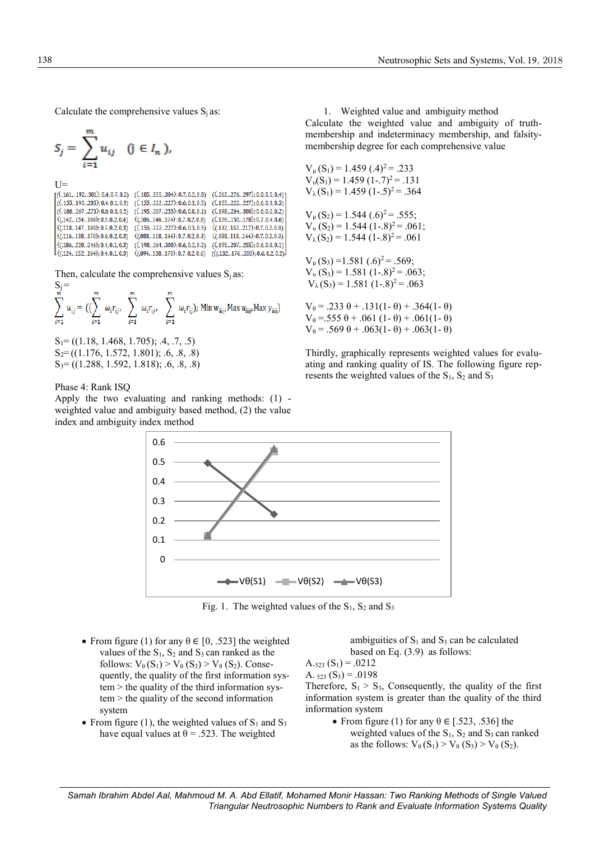Calculate the comprehensive values  $S_i$  as:

$$
S_j = \sum_{i=1}^m u_{ij} \quad (j \in I_n),
$$

 $U =$ <br>  $[(1.61, 192, 301); 0.4, 0.7, 0.2)$   $(6.185, 255, 304); 0.7, 0.2, 0.8)$   $(6.262, 276, 297); 0.8, 0.5, 0.4)$  $(0.155, 222, 227); 0.6, 0.3, 0.5)$  $( (.155, .190, .205); 0.4, 0.1, 0.3)$  $($ . 155, .222, .227); 0.6, 0.3, 0.5 $)$  $((.186, .267, .273); 0.6, 0.3, 0.5)$  $($ , 195, .207, .255); 0.6, 0.8, 0.1)  $((.198, .264, .300); 0.6, 0.2, 0.2)$  $((.142, .154, .166); 0.5, 0.2, 0.4)$  $((.106, .146, .174); 0.7, 0.2, 0.8)$  $($ . 126,.150,.178 $)$ ; 0.7, 0.4, 0.6)  $((.110, .147, .180); 0.7, 0.2, 0.3)$  $($ ,  $(155, .222, .227)$ ; 0.6, 0.3, 0.5)  $((.132, .182, .217); 0.7, 0.2, 0.8)$  $((.116, .138, .170); 0.6, 0.2, 0.3)$  $((088, 0.118, 0.144); 0.7, 0.2, 0.3)$  $((.088, .118, .144); 0.7, 0.2, 0.3)$  $(0.198, 0.264, 0.300)$ : 0.6, 0.2, 0.2)  $(0.195, 0.207, 0.255)$ : 0.6, 0.8, 0.1)  $(C.186, .228, .246): 0.4, 0.1, 0.3)$  $((0.124, 0.152, 0.164); 0.4, 0.1, 0.3)$  $((.094, .138, .170); 0.7, 0.2, 0.6)$   $((.132, .176, .200); 0.6, 0.2, 0.2)$ 

Then, calculate the comprehensive values  $S_i$  as:  $S =$ 

$$
\sum_{i=1}^{m} u_{ij} = \left( \left( \sum_{i=1}^{m} \omega_i r_{ij}, \sum_{i=1}^{m} \omega_i r_{ij}, \sum_{i=1}^{m} \omega_i r_{ij} \right) ; \text{ Min } w_{\text{aij}}, \text{Max } u_{\text{aij}}, \text{Max } y_{\text{aij}} \right)
$$

 $S_1 = ((1.18, 1.468, 1.705); .4, .7, .5)$  $S_2=(1.176, 1.572, 1.801); .6, .8, .8)$ S3= ((1.288, 1.592, 1.818); .6, .8, .8)

Phase 4: Rank ISQ

Apply the two evaluating and ranking methods: (1) weighted value and ambiguity based method, (2) the value index and ambiguity index method

1. Weighted value and ambiguity method Calculate the weighted value and ambiguity of truthmembership and indeterminacy membership, and falsitymembership degree for each comprehensive value

$$
V_{\mu}(S_1) = 1.459 (0.4)^2 = 0.233
$$
  
\n
$$
V_{\nu}(S_1) = 1.459 (1-.7)^2 = 0.131
$$
  
\n
$$
V_{\lambda}(S_1) = 1.459 (1-.5)^2 = 0.364
$$
  
\n
$$
V_{\mu}(S_2) = 1.544 (0.6)^2 = 0.555
$$
  
\n
$$
V_{\nu}(S_2) = 1.544 (1-.8)^2 = 0.061
$$
  
\n
$$
V_{\mu}(S_3) = 1.581 (0.6)^2 = 0.569
$$

 $V_p(S_3) = 1.581 (1-.8)^2 = .063;$  $V_{\lambda}$ (S<sub>3</sub>) = 1.581 (1-.8)<sup>2</sup> = .063

 $V_{\theta} = .233 \theta + .131(1-\theta) + .364(1-\theta)$ V<sub>θ</sub> = 555 θ + .061 (1 - θ) + .061(1 - θ)  $V_{\theta}$  = .569 θ + .063(1- θ) + .063(1- θ)

Thirdly, graphically represents weighted values for evaluating and ranking quality of IS. The following figure represents the weighted values of the  $S_1$ ,  $S_2$  and  $S_3$ 



Fig. 1. The weighted values of the  $S_1$ ,  $S_2$  and  $S_3$ 

- From figure (1) for any  $\theta \in [0, .523]$  the weighted values of the  $S_1$ ,  $S_2$  and  $S_3$  can ranked as the follows:  $V_{\theta}(S_1) > V_{\theta}(S_3) > V_{\theta}(S_2)$ . Consequently, the quality of the first information system > the quality of the third information system > the quality of the second information system
- From figure (1), the weighted values of  $S_1$  and  $S_3$ have equal values at  $\theta = .523$ . The weighted

ambiguities of  $S_1$  and  $S_3$  can be calculated based on Eq. (3.9) as follows:

 $A_{.523} (S_1) = .0212$ 

A.  $_{523}$  (S<sub>3</sub>) = .0198

Therefore,  $S_1 > S_3$ , Consequently, the quality of the first information system is greater than the quality of the third information system

> • From figure (1) for any  $\theta \in [.523, .536]$  the weighted values of the  $S_1$ ,  $S_2$  and  $S_3$  can ranked as the follows:  $V_{\theta}(S_1) > V_{\theta}(S_3) > V_{\theta}(S_2)$ .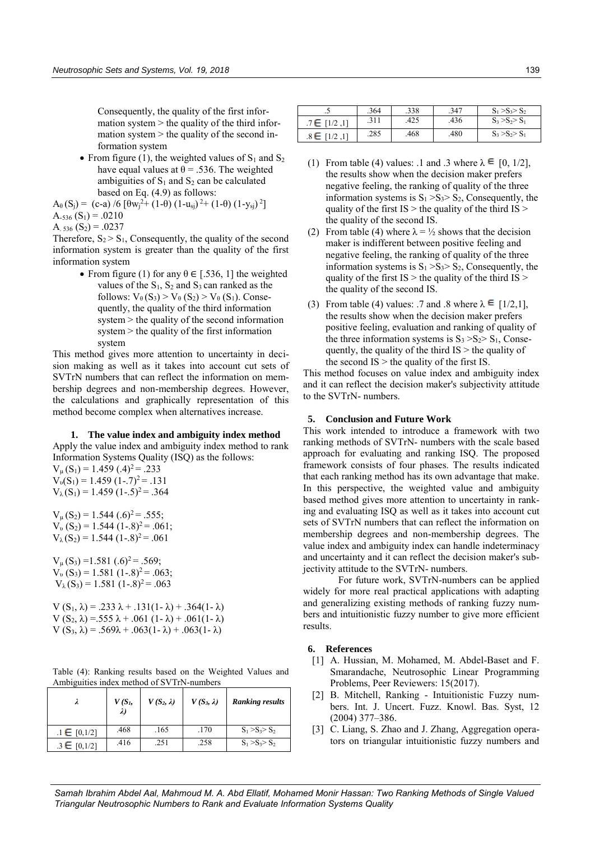Consequently, the quality of the first information system  $>$  the quality of the third information system  $>$  the quality of the second information system

• From figure (1), the weighted values of  $S_1$  and  $S_2$ have equal values at  $\theta = .536$ . The weighted ambiguities of  $S_1$  and  $S_2$  can be calculated based on Eq. (4.9) as follows:

$$
A_{\theta}(S_j) = (c-a) / 6 [ \theta w_j^2 + (1-\theta) (1-u_{sj})^2 + (1-\theta) (1-y_{sj})^2 ]
$$
  
A.536 (S<sub>1</sub>) = .0210

A. 
$$
536(S_2) = .0237
$$

Therefore,  $S_2 > S_1$ , Consequently, the quality of the second information system is greater than the quality of the first information system

> • From figure (1) for any  $\theta \in [.536, 1]$  the weighted values of the  $S_1$ ,  $S_2$  and  $S_3$  can ranked as the follows:  $V_{\theta}(S_3) > V_{\theta}(S_2) > V_{\theta}(S_1)$ . Consequently, the quality of the third information system > the quality of the second information system > the quality of the first information system

This method gives more attention to uncertainty in decision making as well as it takes into account cut sets of SVTrN numbers that can reflect the information on membership degrees and non-membership degrees. However, the calculations and graphically representation of this method become complex when alternatives increase.

## **1. The value index and ambiguity index method**

Apply the value index and ambiguity index method to rank Information Systems Quality (ISQ) as the follows:

 $V_{\mu}$ (S<sub>1</sub>) = 1.459 (.4)<sup>2</sup> = .233  $V_{\nu}(S_1) = 1.459 (1-.7)^2 = .131$  $V_{\lambda}(S_1) = 1.459 (1-.5)^2 = .364$ 

 $V_{\mu}$ (S<sub>2</sub>) = 1.544 (.6)<sup>2</sup> = .555;  $V_{\nu}$  (S<sub>2</sub>) = 1.544 (1-.8)<sup>2</sup> = .061;  $V_{\lambda}$ (S<sub>2</sub>) = 1.544 (1-.8)<sup>2</sup> = .061

 $V_{\mu}$ (S<sub>3</sub>) =1.581 (.6)<sup>2</sup> = .569;  $V_{\nu}$  (S<sub>3</sub>) = 1.581 (1-.8)<sup>2</sup> = .063;  $V_{\lambda}(S_3) = 1.581 (1-.8)^2 = .063$ 

V  $(S_1, \lambda) = .233 \lambda + .131(1 - \lambda) + .364(1 - \lambda)$ V  $(S_2, \lambda) = 555 \lambda + .061 (1 - \lambda) + .061(1 - \lambda)$ V  $(S_3, \lambda) = .569\lambda + .063(1 - \lambda) + .063(1 - \lambda)$ 

Table (4): Ranking results based on the Weighted Values and Ambiguities index method of SVTrN-numbers

|                      | $V(S_I,$<br>$\lambda$ | $V(S_2, \lambda)$ | $V(S_3, \lambda)$ | <b>Ranking results</b> |
|----------------------|-----------------------|-------------------|-------------------|------------------------|
| $\pm 1 \in [0, 1/2]$ | .468                  | .165              | .170              | $S_1 > S_2 > S_2$      |
| .3 $∈$ [0,1/2]       | .416                  | .251              | .258              | $S_1 > S_2 > S_2$      |

| ر.,              | .364 | .338 | .347 | $S_1 > S_3 > S_2$ |
|------------------|------|------|------|-------------------|
| $.7 \in [1/2,1]$ | .311 | .425 | .436 | $S_3 > S_2 > S_1$ |
| $.8 \in$         | .285 | .468 | .480 | $S_3 > S_2 > S_1$ |

- (1) From table (4) values: .1 and .3 where  $\lambda \in [0, 1/2]$ , the results show when the decision maker prefers negative feeling, the ranking of quality of the three information systems is  $S_1 > S_3 > S_2$ , Consequently, the quality of the first  $IS >$  the quality of the third  $IS >$ the quality of the second IS.
- (2) From table (4) where  $\lambda = \frac{1}{2}$  shows that the decision maker is indifferent between positive feeling and negative feeling, the ranking of quality of the three information systems is  $S_1 > S_3 > S_2$ , Consequently, the quality of the first  $IS >$  the quality of the third  $IS >$ the quality of the second IS.
- (3) From table (4) values: .7 and .8 where  $\lambda \in [1/2,1]$ , the results show when the decision maker prefers positive feeling, evaluation and ranking of quality of the three information systems is  $S_3 > S_2 > S_1$ , Consequently, the quality of the third  $IS >$  the quality of the second  $IS >$  the quality of the first IS.

This method focuses on value index and ambiguity index and it can reflect the decision maker's subjectivity attitude to the SVTrN- numbers.

## **5. Conclusion and Future Work**

This work intended to introduce a framework with two ranking methods of SVTrN- numbers with the scale based approach for evaluating and ranking ISQ. The proposed framework consists of four phases. The results indicated that each ranking method has its own advantage that make. In this perspective, the weighted value and ambiguity based method gives more attention to uncertainty in ranking and evaluating ISQ as well as it takes into account cut sets of SVTrN numbers that can reflect the information on membership degrees and non-membership degrees. The value index and ambiguity index can handle indeterminacy and uncertainty and it can reflect the decision maker's subjectivity attitude to the SVTrN- numbers.

 For future work, SVTrN-numbers can be applied widely for more real practical applications with adapting and generalizing existing methods of ranking fuzzy numbers and intuitionistic fuzzy number to give more efficient results.

# **6. References**

- [1] A. Hussian, M. Mohamed, M. Abdel-Baset and F. Smarandache, Neutrosophic Linear Programming Problems, Peer Reviewers: 15(2017).
- [2] B. Mitchell, Ranking Intuitionistic Fuzzy numbers. Int. J. Uncert. Fuzz. Knowl. Bas. Syst, 12 (2004) 377–386.
- [3] C. Liang, S. Zhao and J. Zhang, Aggregation operators on triangular intuitionistic fuzzy numbers and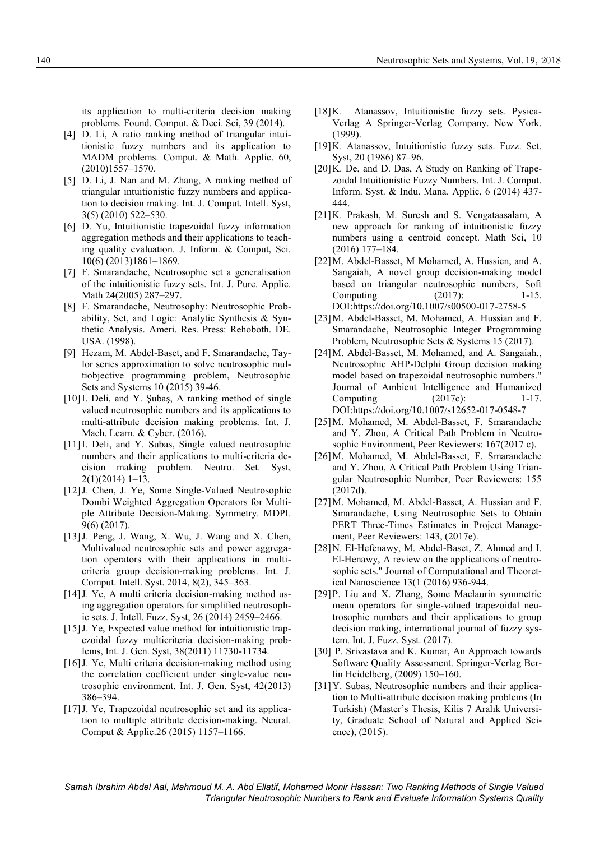its application to multi-criteria decision making problems. Found. Comput. & Deci. Sci, 39 (2014).

- [4] D. Li, A ratio ranking method of triangular intuitionistic fuzzy numbers and its application to MADM problems. Comput. & Math. Applic. 60, (2010)1557–1570.
- [5] D. Li, J. Nan and M. Zhang, A ranking method of triangular intuitionistic fuzzy numbers and application to decision making. Int. J. Comput. Intell. Syst, 3(5) (2010) 522–530.
- [6] D. Yu, Intuitionistic trapezoidal fuzzy information aggregation methods and their applications to teaching quality evaluation. J. Inform. & Comput, Sci. 10(6) (2013)1861–1869.
- [7] F. Smarandache, Neutrosophic set a generalisation of the intuitionistic fuzzy sets. Int. J. Pure. Applic. Math 24(2005) 287–297.
- [8] F. Smarandache, Neutrosophy: Neutrosophic Probability, Set, and Logic: Analytic Synthesis & Synthetic Analysis. Ameri. Res. Press: Rehoboth. DE. USA. (1998).
- [9] Hezam, M. Abdel-Baset, and F. Smarandache, Taylor series approximation to solve neutrosophic multiobjective programming problem, Neutrosophic Sets and Systems 10 (2015) 39-46.
- [10] I. Deli, and Y. Şubaş, A ranking method of single valued neutrosophic numbers and its applications to multi-attribute decision making problems. Int. J. Mach. Learn. & Cyber. (2016).
- [11] I. Deli, and Y. Subas, Single valued neutrosophic numbers and their applications to multi-criteria decision making problem. Neutro. Set. Syst, 2(1)(2014) 1–13.
- [12] J. Chen, J. Ye, Some Single-Valued Neutrosophic Dombi Weighted Aggregation Operators for Multiple Attribute Decision-Making. Symmetry. MDPI. 9(6) (2017).
- [13] J. Peng, J. Wang, X. Wu, J. Wang and X. Chen, Multivalued neutrosophic sets and power aggregation operators with their applications in multicriteria group decision-making problems. Int. J. Comput. Intell. Syst. 2014, 8(2), 345–363.
- [14] J. Ye, A multi criteria decision-making method using aggregation operators for simplified neutrosophic sets. J. Intell. Fuzz. Syst, 26 (2014) 2459–2466.
- [15] J. Ye, Expected value method for intuitionistic trapezoidal fuzzy multicriteria decision-making problems, Int. J. Gen. Syst, 38(2011) 11730-11734.
- [16] J. Ye, Multi criteria decision-making method using the correlation coefficient under single-value neutrosophic environment. Int. J. Gen. Syst, 42(2013) 386–394.
- [17] J. Ye, Trapezoidal neutrosophic set and its application to multiple attribute decision-making. Neural. Comput & Applic.26 (2015) 1157–1166.
- [18] K. Atanassov, Intuitionistic fuzzy sets. Pysica-Verlag A Springer-Verlag Company. New York. (1999).
- [19]K. Atanassov, Intuitionistic fuzzy sets. Fuzz. Set. Syst, 20 (1986) 87–96.
- [20]K. De, and D. Das, A Study on Ranking of Trapezoidal Intuitionistic Fuzzy Numbers. Int. J. Comput. Inform. Syst. & Indu. Mana. Applic, 6 (2014) 437- 444.
- [21]K. Prakash, M. Suresh and S. Vengataasalam, A new approach for ranking of intuitionistic fuzzy numbers using a centroid concept. Math Sci, 10 (2016) 177–184.
- [22]M. Abdel-Basset, M Mohamed, A. Hussien, and A. Sangaiah, A novel group decision-making model based on triangular neutrosophic numbers, Soft Computing (2017): 1-15. DOI:https://doi.org/10.1007/s00500-017-2758-5
- [23]M. Abdel-Basset, M. Mohamed, A. Hussian and F. Smarandache, Neutrosophic Integer Programming Problem, Neutrosophic Sets & Systems 15 (2017).
- [24]M. Abdel-Basset, M. Mohamed, and A. Sangaiah., Neutrosophic AHP-Delphi Group decision making model based on trapezoidal neutrosophic numbers." Journal of Ambient Intelligence and Humanized Computing (2017c): 1-17. DOI:https://doi.org/10.1007/s12652-017-0548-7
- [25]M. Mohamed, M. Abdel-Basset, F. Smarandache and Y. Zhou, A Critical Path Problem in Neutrosophic Environment, Peer Reviewers: 167(2017 c).
- [26]M. Mohamed, M. Abdel-Basset, F. Smarandache and Y. Zhou, A Critical Path Problem Using Triangular Neutrosophic Number, Peer Reviewers: 155 (2017d).
- [27]M. Mohamed, M. Abdel-Basset, A. Hussian and F. Smarandache, Using Neutrosophic Sets to Obtain PERT Three-Times Estimates in Project Management, Peer Reviewers: 143, (2017e).
- [28]N. El-Hefenawy, M. Abdel-Baset, Z. Ahmed and I. El-Henawy, A review on the applications of neutrosophic sets." Journal of Computational and Theoretical Nanoscience 13(1 (2016) 936-944.
- [29]P. Liu and X. Zhang, Some Maclaurin symmetric mean operators for single-valued trapezoidal neutrosophic numbers and their applications to group decision making, international journal of fuzzy system. Int. J. Fuzz. Syst. (2017).
- [30] P. Srivastava and K. Kumar, An Approach towards Software Quality Assessment. Springer-Verlag Berlin Heidelberg, (2009) 150–160.
- [31]Y. Subas, Neutrosophic numbers and their application to Multi-attribute decision making problems (In Turkish) (Master's Thesis, Kilis 7 Aralık University, Graduate School of Natural and Applied Science), (2015).